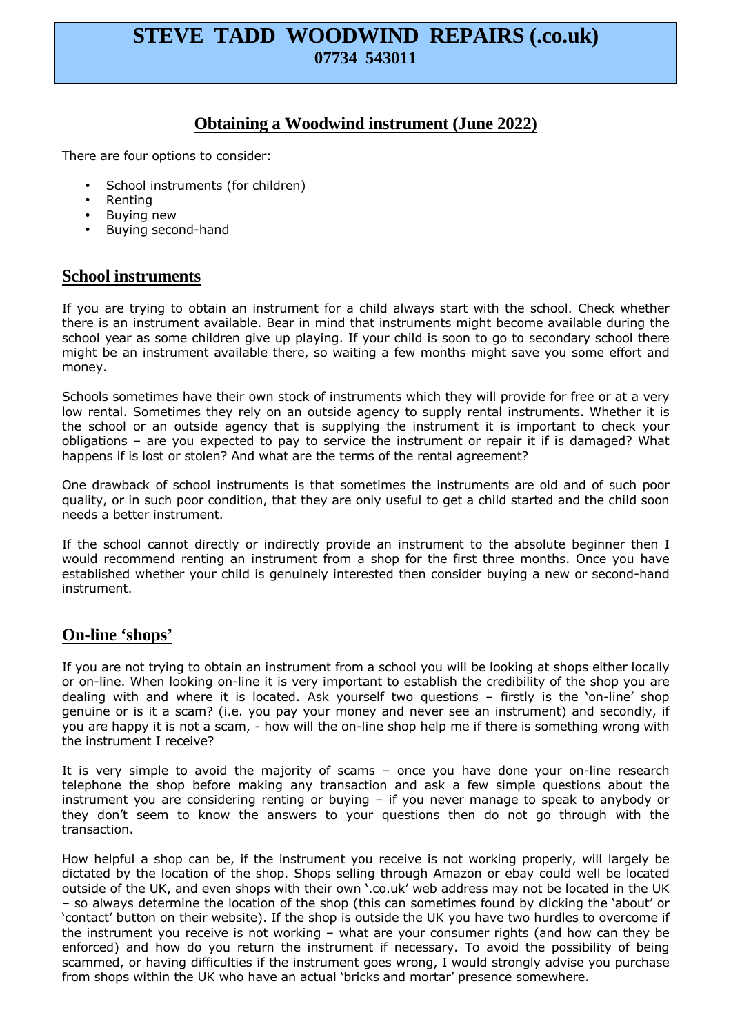# **STEVE TADD WOODWIND REPAIRS (.co.uk) 07734 543011**

## **Obtaining a Woodwind instrument (June 2022)**

There are four options to consider:

- School instruments (for children)
- Renting
- Buying new
- Buying second-hand

#### **School instruments**

If you are trying to obtain an instrument for a child always start with the school. Check whether there is an instrument available. Bear in mind that instruments might become available during the school year as some children give up playing. If your child is soon to go to secondary school there might be an instrument available there, so waiting a few months might save you some effort and money.

Schools sometimes have their own stock of instruments which they will provide for free or at a very low rental. Sometimes they rely on an outside agency to supply rental instruments. Whether it is the school or an outside agency that is supplying the instrument it is important to check your obligations – are you expected to pay to service the instrument or repair it if is damaged? What happens if is lost or stolen? And what are the terms of the rental agreement?

One drawback of school instruments is that sometimes the instruments are old and of such poor quality, or in such poor condition, that they are only useful to get a child started and the child soon needs a better instrument.

If the school cannot directly or indirectly provide an instrument to the absolute beginner then I would recommend renting an instrument from a shop for the first three months. Once you have established whether your child is genuinely interested then consider buying a new or second-hand instrument.

## **On-line 'shops'**

If you are not trying to obtain an instrument from a school you will be looking at shops either locally or on-line. When looking on-line it is very important to establish the credibility of the shop you are dealing with and where it is located. Ask yourself two questions – firstly is the 'on-line' shop genuine or is it a scam? (i.e. you pay your money and never see an instrument) and secondly, if you are happy it is not a scam, - how will the on-line shop help me if there is something wrong with the instrument I receive?

It is very simple to avoid the majority of scams – once you have done your on-line research telephone the shop before making any transaction and ask a few simple questions about the instrument you are considering renting or buying – if you never manage to speak to anybody or they don't seem to know the answers to your questions then do not go through with the transaction.

How helpful a shop can be, if the instrument you receive is not working properly, will largely be dictated by the location of the shop. Shops selling through Amazon or ebay could well be located outside of the UK, and even shops with their own '.co.uk' web address may not be located in the UK – so always determine the location of the shop (this can sometimes found by clicking the 'about' or 'contact' button on their website). If the shop is outside the UK you have two hurdles to overcome if the instrument you receive is not working – what are your consumer rights (and how can they be enforced) and how do you return the instrument if necessary. To avoid the possibility of being scammed, or having difficulties if the instrument goes wrong, I would strongly advise you purchase from shops within the UK who have an actual 'bricks and mortar' presence somewhere.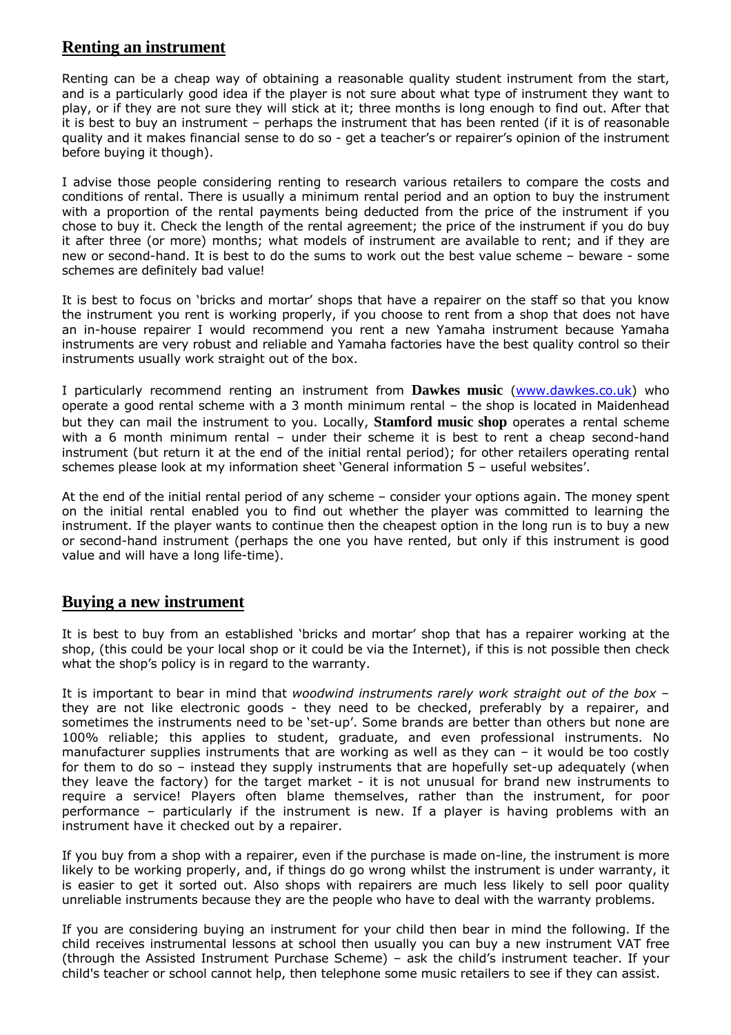## **Renting an instrument**

Renting can be a cheap way of obtaining a reasonable quality student instrument from the start, and is a particularly good idea if the player is not sure about what type of instrument they want to play, or if they are not sure they will stick at it; three months is long enough to find out. After that it is best to buy an instrument – perhaps the instrument that has been rented (if it is of reasonable quality and it makes financial sense to do so - get a teacher's or repairer's opinion of the instrument before buying it though).

I advise those people considering renting to research various retailers to compare the costs and conditions of rental. There is usually a minimum rental period and an option to buy the instrument with a proportion of the rental payments being deducted from the price of the instrument if you chose to buy it. Check the length of the rental agreement; the price of the instrument if you do buy it after three (or more) months; what models of instrument are available to rent; and if they are new or second-hand. It is best to do the sums to work out the best value scheme – beware - some schemes are definitely bad value!

It is best to focus on 'bricks and mortar' shops that have a repairer on the staff so that you know the instrument you rent is working properly, if you choose to rent from a shop that does not have an in-house repairer I would recommend you rent a new Yamaha instrument because Yamaha instruments are very robust and reliable and Yamaha factories have the best quality control so their instruments usually work straight out of the box.

I particularly recommend renting an instrument from **Dawkes music** (www.dawkes.co.uk) who operate a good rental scheme with a 3 month minimum rental – the shop is located in Maidenhead but they can mail the instrument to you. Locally, **Stamford music shop** operates a rental scheme with a 6 month minimum rental – under their scheme it is best to rent a cheap second-hand instrument (but return it at the end of the initial rental period); for other retailers operating rental schemes please look at my information sheet 'General information 5 – useful websites'.

At the end of the initial rental period of any scheme – consider your options again. The money spent on the initial rental enabled you to find out whether the player was committed to learning the instrument. If the player wants to continue then the cheapest option in the long run is to buy a new or second-hand instrument (perhaps the one you have rented, but only if this instrument is good value and will have a long life-time).

## **Buying a new instrument**

It is best to buy from an established 'bricks and mortar' shop that has a repairer working at the shop, (this could be your local shop or it could be via the Internet), if this is not possible then check what the shop's policy is in regard to the warranty.

It is important to bear in mind that *woodwind instruments rarely work straight out of the box* – they are not like electronic goods - they need to be checked, preferably by a repairer, and sometimes the instruments need to be 'set-up'. Some brands are better than others but none are 100% reliable; this applies to student, graduate, and even professional instruments. No manufacturer supplies instruments that are working as well as they can  $-$  it would be too costly for them to do so – instead they supply instruments that are hopefully set-up adequately (when they leave the factory) for the target market - it is not unusual for brand new instruments to require a service! Players often blame themselves, rather than the instrument, for poor performance – particularly if the instrument is new. If a player is having problems with an instrument have it checked out by a repairer.

If you buy from a shop with a repairer, even if the purchase is made on-line, the instrument is more likely to be working properly, and, if things do go wrong whilst the instrument is under warranty, it is easier to get it sorted out. Also shops with repairers are much less likely to sell poor quality unreliable instruments because they are the people who have to deal with the warranty problems.

If you are considering buying an instrument for your child then bear in mind the following. If the child receives instrumental lessons at school then usually you can buy a new instrument VAT free (through the Assisted Instrument Purchase Scheme) – ask the child's instrument teacher. If your child's teacher or school cannot help, then telephone some music retailers to see if they can assist.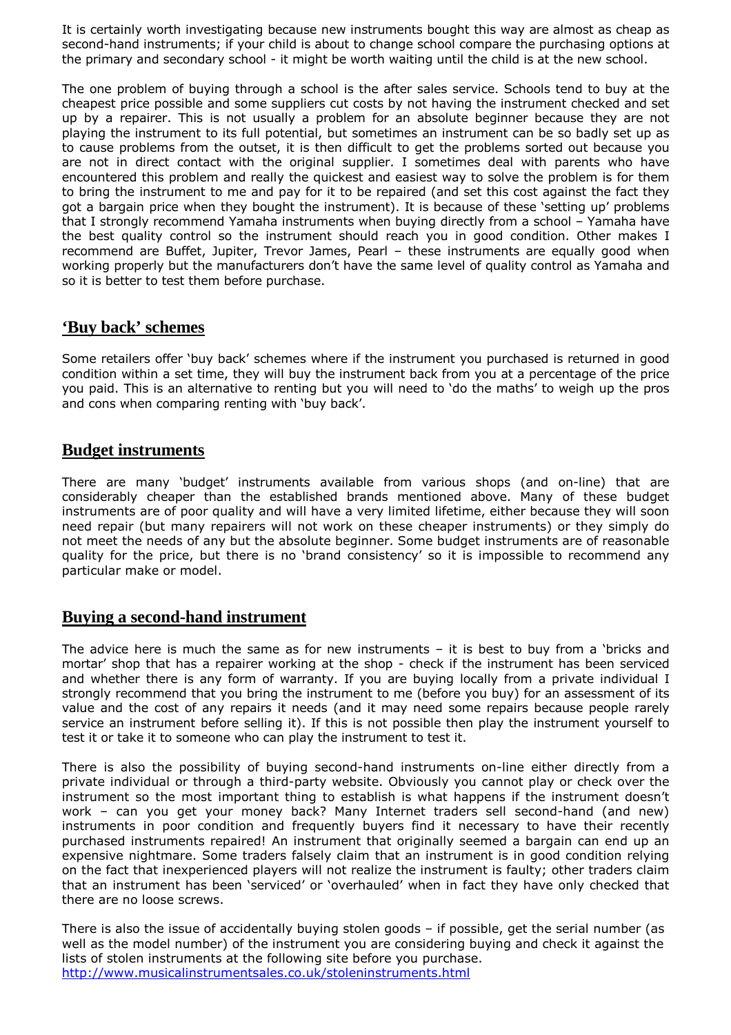It is certainly worth investigating because new instruments bought this way are almost as cheap as second-hand instruments; if your child is about to change school compare the purchasing options at the primary and secondary school - it might be worth waiting until the child is at the new school.

The one problem of buying through a school is the after sales service. Schools tend to buy at the cheapest price possible and some suppliers cut costs by not having the instrument checked and set up by a repairer. This is not usually a problem for an absolute beginner because they are not playing the instrument to its full potential, but sometimes an instrument can be so badly set up as to cause problems from the outset, it is then difficult to get the problems sorted out because you are not in direct contact with the original supplier. I sometimes deal with parents who have encountered this problem and really the quickest and easiest way to solve the problem is for them to bring the instrument to me and pay for it to be repaired (and set this cost against the fact they got a bargain price when they bought the instrument). It is because of these 'setting up' problems that I strongly recommend Yamaha instruments when buying directly from a school – Yamaha have the best quality control so the instrument should reach you in good condition. Other makes I recommend are Buffet, Jupiter, Trevor James, Pearl – these instruments are equally good when working properly but the manufacturers don't have the same level of quality control as Yamaha and so it is better to test them before purchase.

#### **'Buy back' schemes**

Some retailers offer 'buy back' schemes where if the instrument you purchased is returned in good condition within a set time, they will buy the instrument back from you at a percentage of the price you paid. This is an alternative to renting but you will need to 'do the maths' to weigh up the pros and cons when comparing renting with 'buy back'.

#### **Budget instruments**

There are many 'budget' instruments available from various shops (and on-line) that are considerably cheaper than the established brands mentioned above. Many of these budget instruments are of poor quality and will have a very limited lifetime, either because they will soon need repair (but many repairers will not work on these cheaper instruments) or they simply do not meet the needs of any but the absolute beginner. Some budget instruments are of reasonable quality for the price, but there is no 'brand consistency' so it is impossible to recommend any particular make or model.

## **Buying a second-hand instrument**

The advice here is much the same as for new instruments – it is best to buy from a 'bricks and mortar' shop that has a repairer working at the shop - check if the instrument has been serviced and whether there is any form of warranty. If you are buying locally from a private individual I strongly recommend that you bring the instrument to me (before you buy) for an assessment of its value and the cost of any repairs it needs (and it may need some repairs because people rarely service an instrument before selling it). If this is not possible then play the instrument yourself to test it or take it to someone who can play the instrument to test it.

There is also the possibility of buying second-hand instruments on-line either directly from a private individual or through a third-party website. Obviously you cannot play or check over the instrument so the most important thing to establish is what happens if the instrument doesn't work – can you get your money back? Many Internet traders sell second-hand (and new) instruments in poor condition and frequently buyers find it necessary to have their recently purchased instruments repaired! An instrument that originally seemed a bargain can end up an expensive nightmare. Some traders falsely claim that an instrument is in good condition relying on the fact that inexperienced players will not realize the instrument is faulty; other traders claim that an instrument has been 'serviced' or 'overhauled' when in fact they have only checked that there are no loose screws.

There is also the issue of accidentally buying stolen goods – if possible, get the serial number (as well as the model number) of the instrument you are considering buying and check it against the lists of stolen instruments at the following site before you purchase. http://www.musicalinstrumentsales.co.uk/stoleninstruments.html